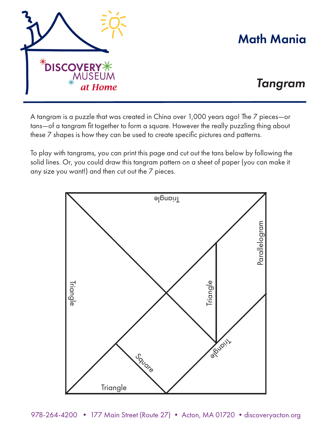

## Math Mania

## *Tangram*

A tangram is a puzzle that was created in China over 1,000 years ago! The 7 pieces—or tans—of a tangram fit together to form a square. However the really puzzling thing about these 7 shapes is how they can be used to create specific pictures and patterns.

To play with tangrams, you can print this page and cut out the tans below by following the solid lines. Or, you could draw this tangram pattern on a sheet of paper (you can make it any size you want!) and then cut out the 7 pieces.